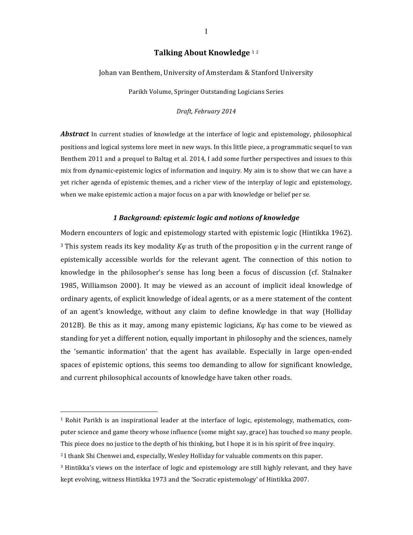# **Talking About Knowledge** 12

Johan van Benthem, University of Amsterdam & Stanford University

Parikh Volume, Springer Outstanding Logicians Series

*Draft, February 2014*

**Abstract** In current studies of knowledge at the interface of logic and epistemology, philosophical positions and logical systems lore meet in new ways. In this little piece, a programmatic sequel to van Benthem 2011 and a prequel to Baltag et al. 2014, I add some further perspectives and issues to this mix from dynamic-epistemic logics of information and inquiry. My aim is to show that we can have a yet richer agenda of epistemic themes, and a richer view of the interplay of logic and epistemology, when we make epistemic action a major focus on a par with knowledge or belief per se.

### *1 Background: epistemic logic and notions of knowledge*

Modern encounters of logic and epistemology started with epistemic logic (Hintikka 1962). <sup>3</sup> This system reads its key modality *K* $\varphi$  as truth of the proposition  $\varphi$  in the current range of epistemically accessible worlds for the relevant agent. The connection of this notion to knowledge in the philosopher's sense has long been a focus of discussion (cf. Stalnaker 1985, Williamson 2000). It may be viewed as an account of implicit ideal knowledge of ordinary agents, of explicit knowledge of ideal agents, or as a mere statement of the content of an agent's knowledge, without any claim to define knowledge in that way (Holliday 2012B). Be this as it may, among many epistemic logicians,  $K\varphi$  has come to be viewed as standing for yet a different notion, equally important in philosophy and the sciences, namely the 'semantic information' that the agent has available. Especially in large open-ended spaces of epistemic options, this seems too demanding to allow for significant knowledge, and current philosophical accounts of knowledge have taken other roads.

 $\overline{a}$ 

1

<sup>&</sup>lt;sup>1</sup> Rohit Parikh is an inspirational leader at the interface of logic, epistemology, mathematics, computer science and game theory whose influence (some might say, grace) has touched so many people. This piece does no justice to the depth of his thinking, but I hope it is in his spirit of free inquiry.

<sup>&</sup>lt;sup>2</sup> I thank Shi Chenwei and, especially, Wesley Holliday for valuable comments on this paper.

 $3$  Hintikka's views on the interface of logic and epistemology are still highly relevant, and they have kept evolving, witness Hintikka 1973 and the 'Socratic epistemology' of Hintikka 2007.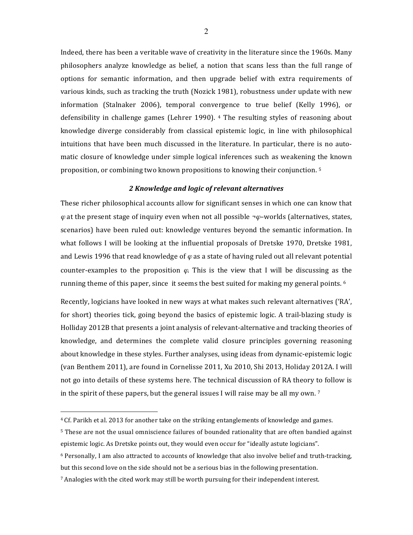Indeed, there has been a veritable wave of creativity in the literature since the 1960s. Many philosophers analyze knowledge as belief, a notion that scans less than the full range of options for semantic information, and then upgrade belief with extra requirements of various kinds, such as tracking the truth (Nozick 1981), robustness under update with new information (Stalnaker 2006), temporal convergence to true belief (Kelly 1996), or defensibility in challenge games (Lehrer 1990).  $4$  The resulting styles of reasoning about knowledge diverge considerably from classical epistemic logic, in line with philosophical intuitions that have been much discussed in the literature. In particular, there is no automatic closure of knowledge under simple logical inferences such as weakening the known proposition, or combining two known propositions to knowing their conjunction. <sup>5</sup>

#### *2 Knowledge and logic of relevant alternatives*

These richer philosophical accounts allow for significant senses in which one can know that  $\varphi$  at the present stage of inquiry even when not all possible  $\neg \varphi$ –worlds (alternatives, states, scenarios) have been ruled out: knowledge ventures beyond the semantic information. In what follows I will be looking at the influential proposals of Dretske 1970, Dretske 1981, and Lewis 1996 that read knowledge of  $\varphi$  as a state of having ruled out all relevant potential counter-examples to the proposition  $\varphi$ . This is the view that I will be discussing as the running theme of this paper, since it seems the best suited for making my general points.  $6$ 

Recently, logicians have looked in new ways at what makes such relevant alternatives ('RA', for short) theories tick, going beyond the basics of epistemic logic. A trail-blazing study is Holliday 2012B that presents a joint analysis of relevant-alternative and tracking theories of knowledge, and determines the complete valid closure principles governing reasoning about knowledge in these styles. Further analyses, using ideas from dynamic-epistemic logic (van Benthem 2011), are found in Cornelisse 2011, Xu 2010, Shi 2013, Holiday 2012A. I will not go into details of these systems here. The technical discussion of RA theory to follow is in the spirit of these papers, but the general issues I will raise may be all my own.  $\frac{7}{1}$ 

 $\overline{a}$ 

 $6$  Personally, I am also attracted to accounts of knowledge that also involve belief and truth-tracking, but this second love on the side should not be a serious bias in the following presentation.

<sup>&</sup>lt;sup>4</sup> Cf. Parikh et al. 2013 for another take on the striking entanglements of knowledge and games.

<sup>&</sup>lt;sup>5</sup> These are not the usual omniscience failures of bounded rationality that are often bandied against epistemic logic. As Dretske points out, they would even occur for "ideally astute logicians".

 $7$  Analogies with the cited work may still be worth pursuing for their independent interest.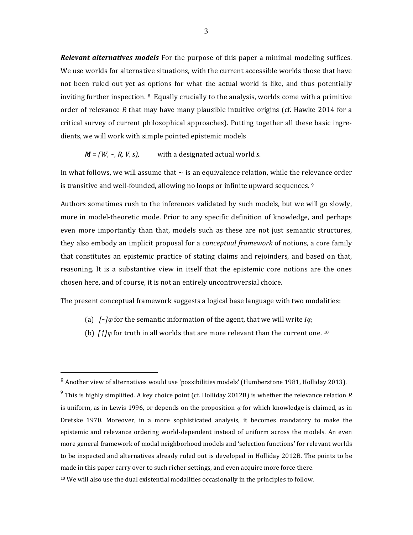**Relevant alternatives models** For the purpose of this paper a minimal modeling suffices. We use worlds for alternative situations, with the current accessible worlds those that have not been ruled out yet as options for what the actual world is like, and thus potentially inviting further inspection.  $8$  Equally crucially to the analysis, worlds come with a primitive order of relevance *R* that may have many plausible intuitive origins (cf. Hawke 2014 for a critical survey of current philosophical approaches). Putting together all these basic ingredients, we will work with simple pointed epistemic models

 $M = (W, \sim, R, V, s)$ , with a designated actual world *s*.

In what follows, we will assume that  $\sim$  is an equivalence relation, while the relevance order is transitive and well-founded, allowing no loops or infinite upward sequences.<sup>9</sup>

Authors sometimes rush to the inferences validated by such models, but we will go slowly, more in model-theoretic mode. Prior to any specific definition of knowledge, and perhaps even more importantly than that, models such as these are not just semantic structures, they also embody an implicit proposal for a *conceptual framework* of notions, a core family that constitutes an epistemic practice of stating claims and rejoinders, and based on that, reasoning. It is a substantive view in itself that the epistemic core notions are the ones chosen here, and of course, it is not an entirely uncontroversial choice.

The present conceptual framework suggests a logical base language with two modalities:

- (a)  $\int \sim$   $\int \varphi$  for the semantic information of the agent, that we will write *I* $\varphi$ *,*
- (b)  $\int f/\varphi$  for truth in all worlds that are more relevant than the current one. <sup>10</sup>

 $8$  Another view of alternatives would use 'possibilities models' (Humberstone 1981, Holliday 2013).

 $9$  This is highly simplified. A key choice point (cf. Holliday 2012B) is whether the relevance relation  $R$ is uniform, as in Lewis 1996, or depends on the proposition  $\varphi$  for which knowledge is claimed, as in Dretske 1970. Moreover, in a more sophisticated analysis, it becomes mandatory to make the epistemic and relevance ordering world-dependent instead of uniform across the models. An even more general framework of modal neighborhood models and 'selection functions' for relevant worlds to be inspected and alternatives already ruled out is developed in Holliday 2012B. The points to be made in this paper carry over to such richer settings, and even acquire more force there.  $10$  We will also use the dual existential modalities occasionally in the principles to follow.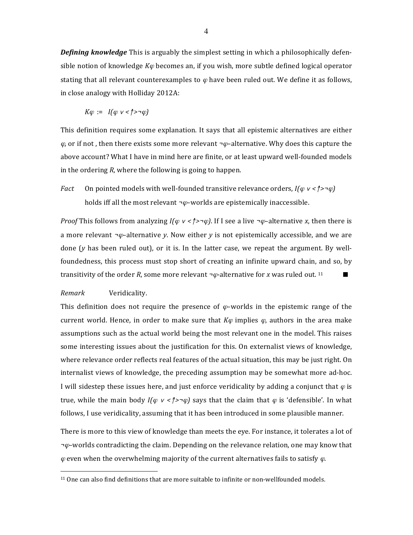**Defining knowledge** This is arguably the simplest setting in which a philosophically defensible notion of knowledge  $K\varphi$  becomes an, if you wish, more subtle defined logical operator stating that all relevant counterexamples to  $\varphi$  have been ruled out. We define it as follows, in close analogy with Holliday 2012A:

$$
K\varphi := I(\varphi \vee \langle \uparrow \rangle \neg \varphi)
$$

This definition requires some explanation. It says that all epistemic alternatives are either  $\varphi$ , or if not, then there exists some more relevant  $\neg \varphi$ –alternative. Why does this capture the above account? What I have in mind here are finite, or at least upward well-founded models in the ordering *, where the following is going to happen.* 

*Fact* On pointed models with well-founded transitive relevance orders,  $I(\varphi \vee f > \neg \varphi)$ holds iff all the most relevant ¬ $\varphi$ –worlds are epistemically inaccessible.

*Proof* This follows from analyzing  $I(\varphi \vee \neg \uparrow \neg \neg \varphi)$ . If I see a live  $\neg \varphi$ –alternative *x*, then there is a more relevant  $\neg \varphi$ –alternative *y*. Now either *y* is not epistemically accessible, and we are done (*y* has been ruled out), or it is. In the latter case, we repeat the argument. By wellfoundedness, this process must stop short of creating an infinite upward chain, and so, by transitivity of the order *R*, some more relevant  $\neg \varphi$ -alternative for *x* was ruled out. <sup>11</sup>

# *Remark* Veridicality.

 $\overline{a}$ 

This definition does not require the presence of  $\varphi$ –worlds in the epistemic range of the current world. Hence, in order to make sure that  $K\varphi$  implies  $\varphi$ , authors in the area make assumptions such as the actual world being the most relevant one in the model. This raises some interesting issues about the justification for this. On externalist views of knowledge, where relevance order reflects real features of the actual situation, this may be just right. On internalist views of knowledge, the preceding assumption may be somewhat more ad-hoc. I will sidestep these issues here, and just enforce veridicality by adding a conjunct that  $\varphi$  is true, while the main body *I(* $\varphi$  *ν <*  $\uparrow$ *>¬* $\varphi$ *)* says that the claim that  $\varphi$  is 'defensible'. In what follows, I use veridicality, assuming that it has been introduced in some plausible manner.

There is more to this view of knowledge than meets the eye. For instance, it tolerates a lot of  $\neg \varphi$ –worlds contradicting the claim. Depending on the relevance relation, one may know that  $\varphi$  even when the overwhelming majority of the current alternatives fails to satisfy  $\varphi$ .

 $11$  One can also find definitions that are more suitable to infinite or non-wellfounded models.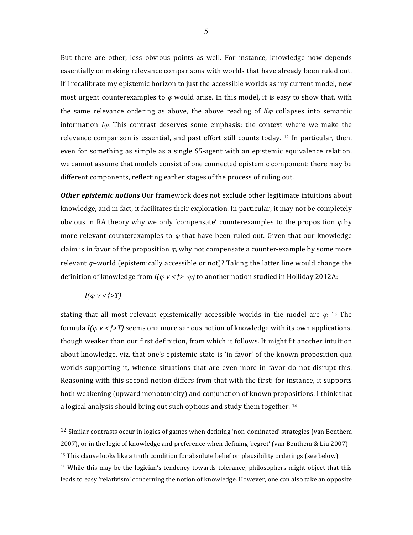But there are other, less obvious points as well. For instance, knowledge now depends essentially on making relevance comparisons with worlds that have already been ruled out. If I recalibrate my epistemic horizon to just the accessible worlds as my current model, new most urgent counterexamples to  $\varphi$  would arise. In this model, it is easy to show that, with the same relevance ordering as above, the above reading of  $K\varphi$  collapses into semantic information  $I\varphi$ . This contrast deserves some emphasis: the context where we make the relevance comparison is essential, and past effort still counts today.  $12$  In particular, then, even for something as simple as a single S5-agent with an epistemic equivalence relation, we cannot assume that models consist of one connected epistemic component: there may be different components, reflecting earlier stages of the process of ruling out.

**Other epistemic notions** Our framework does not exclude other legitimate intuitions about knowledge, and in fact, it facilitates their exploration. In particular, it may not be completely obvious in RA theory why we only 'compensate' counterexamples to the proposition  $\varphi$  by more relevant counterexamples to  $\varphi$  that have been ruled out. Given that our knowledge claim is in favor of the proposition  $\varphi$ , why not compensate a counter-example by some more relevant  $\varphi$ –world (epistemically accessible or not)? Taking the latter line would change the definition of knowledge from  $I(\varphi \vee \langle \rangle \rightarrow \varphi)$  to another notion studied in Holliday 2012A:

*I(*<sup>ϕ</sup> <sup>∨</sup> *<*↑*>T)*

 $\overline{a}$ 

stating that all most relevant epistemically accessible worlds in the model are  $\varphi$ . <sup>13</sup> The formula *I(* $\varphi$  *v* < *†*>*T*) seems one more serious notion of knowledge with its own applications, though weaker than our first definition, from which it follows. It might fit another intuition about knowledge, viz. that one's epistemic state is 'in favor' of the known proposition qua worlds supporting it, whence situations that are even more in favor do not disrupt this. Reasoning with this second notion differs from that with the first: for instance, it supports both weakening (upward monotonicity) and conjunction of known propositions. I think that a logical analysis should bring out such options and study them together.  $14$ 

 $12$  Similar contrasts occur in logics of games when defining 'non-dominated' strategies (van Benthem 2007), or in the logic of knowledge and preference when defining 'regret' (van Benthem & Liu 2007).

 $13$  This clause looks like a truth condition for absolute belief on plausibility orderings (see below).

 $14$  While this may be the logician's tendency towards tolerance, philosophers might object that this leads to easy 'relativism' concerning the notion of knowledge. However, one can also take an opposite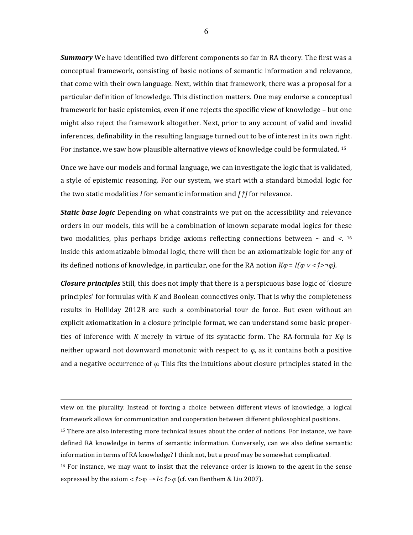**Summary** We have identified two different components so far in RA theory. The first was a conceptual framework, consisting of basic notions of semantic information and relevance, that come with their own language. Next, within that framework, there was a proposal for a particular definition of knowledge. This distinction matters. One may endorse a conceptual framework for basic epistemics, even if one rejects the specific view of knowledge – but one might also reject the framework altogether. Next, prior to any account of valid and invalid inferences, definability in the resulting language turned out to be of interest in its own right. For instance, we saw how plausible alternative views of knowledge could be formulated. <sup>15</sup>

Once we have our models and formal language, we can investigate the logic that is validated, a style of epistemic reasoning. For our system, we start with a standard bimodal logic for the two static modalities *I* for semantic information and  $\int f$  for relevance.

*Static base logic* Depending on what constraints we put on the accessibility and relevance orders in our models, this will be a combination of known separate modal logics for these two modalities, plus perhaps bridge axioms reflecting connections between  $\sim$  and  $\lt$ . <sup>16</sup> Inside this axiomatizable bimodal logic, there will then be an axiomatizable logic for any of its defined notions of knowledge, in particular, one for the RA notion  $K\varphi = I(\varphi \vee \langle \cdot \rangle \neg \varphi)$ .

*Closure principles* Still, this does not imply that there is a perspicuous base logic of 'closure principles' for formulas with *K* and Boolean connectives only. That is why the completeness results in Holliday 2012B are such a combinatorial tour de force. But even without an explicit axiomatization in a closure principle format, we can understand some basic properties of inference with *K* merely in virtue of its syntactic form. The RA-formula for  $K\varphi$  is neither upward not downward monotonic with respect to  $\varphi$ , as it contains both a positive and a negative occurrence of  $\varphi$ . This fits the intuitions about closure principles stated in the

view on the plurality. Instead of forcing a choice between different views of knowledge, a logical framework allows for communication and cooperation between different philosophical positions. <sup>15</sup> There are also interesting more technical issues about the order of notions. For instance, we have defined RA knowledge in terms of semantic information. Conversely, can we also define semantic information in terms of RA knowledge? I think not, but a proof may be somewhat complicated.  $16$  For instance, we may want to insist that the relevance order is known to the agent in the sense expressed by the axiom  $\langle \uparrow \rangle \varphi \rightarrow I \langle \uparrow \rangle \varphi$  (cf. van Benthem & Liu 2007).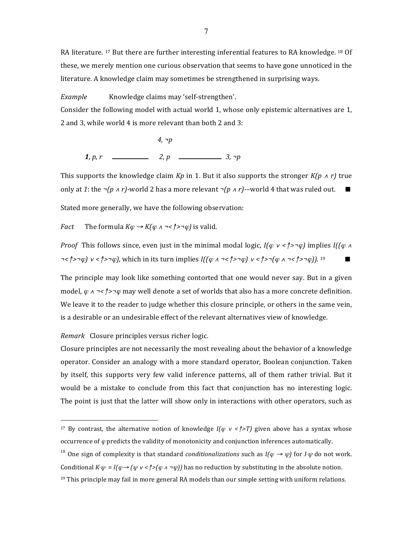RA literature. <sup>17</sup> But there are further interesting inferential features to RA knowledge. <sup>18</sup> Of these, we merely mention one curious observation that seems to have gone unnoticed in the literature. A knowledge claim may sometimes be strengthened in surprising ways.

*Example* Knowledge claims may 'self-strengthen'.

Consider the following model with actual world 1, whose only epistemic alternatives are 1, 2 and 3, while world 4 is more relevant than both 2 and 3:

$$
4, \neg p
$$
  
1, p, r 2, p 2, p 3,  $\neg p$ 

This supports the knowledge claim  $Kp$  in 1. But it also supports the stronger  $K(p \wedge r)$  true only at 1: the  $\neg(p \land r)$ -world 2 has a more relevant  $\neg(p \land r)$ --world 4 that was ruled out. ■ Stated more generally, we have the following observation:

*Fact* The formula  $K\varphi \to K(\varphi \land \neg \langle \varphi \rangle - \varphi)$  is valid.

*Proof* This follows since, even just in the minimal modal logic,  $I(\varphi \vee f > \neg \varphi)$  implies  $I((\varphi \wedge f) \vee \neg \varphi)$ *¬<*↑*>¬*ϕ*)* <sup>∨</sup> *<*↑*>¬*ϕ*),* which in its turn implies *I((*<sup>ϕ</sup> <sup>∧</sup> *¬<*↑*>¬*ϕ*)* <sup>∨</sup> *<*↑*>¬(*<sup>ϕ</sup> <sup>∧</sup> *¬<*↑*>¬*ϕ*)).* 19 ■

The principle may look like something contorted that one would never say. But in a given model,  $\varphi \wedge \neg \prec \uparrow$ >*¬* $\varphi$  may well denote a set of worlds that also has a more concrete definition. We leave it to the reader to judge whether this closure principle, or others in the same vein, is a desirable or an undesirable effect of the relevant alternatives view of knowledge.

*Remark* Closure principles versus richer logic.

 $\overline{a}$ 

Closure principles are not necessarily the most revealing about the behavior of a knowledge operator. Consider an analogy with a more standard operator, Boolean conjunction. Taken by itself, this supports very few valid inference patterns, all of them rather trivial. But it would be a mistake to conclude from this fact that conjunction has no interesting logic. The point is just that the latter will show only in interactions with other operators, such as

<sup>&</sup>lt;sup>17</sup> By contrast, the alternative notion of knowledge  $I(\varphi \vee \langle \cdot \rangle)$  given above has a syntax whose occurrence of  $\varphi$  predicts the validity of monotonicity and conjunction inferences automatically.

<sup>&</sup>lt;sup>18</sup> One sign of complexity is that standard *conditionalizations* such as  $I(\varphi \to \psi)$  for *I* $\psi$  do not work. Conditional  $K \psi = I(\varphi \rightarrow (\psi \vee \langle \uparrow \rangle(\varphi \wedge \neg \psi))$  has no reduction by substituting in the absolute notion.

 $19$  This principle may fail in more general RA models than our simple setting with uniform relations.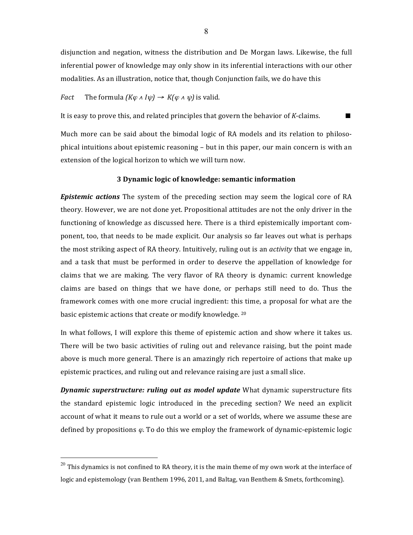disjunction and negation, witness the distribution and De Morgan laws. Likewise, the full inferential power of knowledge may only show in its inferential interactions with our other modalities. As an illustration, notice that, though Conjunction fails, we do have this

# *Fact* The formula  $(K\varphi \land I\psi) \rightarrow K(\varphi \land \psi)$  is valid.

It is easy to prove this, and related principles that govern the behavior of *K*-claims.

Much more can be said about the bimodal logic of RA models and its relation to philosophical intuitions about epistemic reasoning – but in this paper, our main concern is with an extension of the logical horizon to which we will turn now.

## **3 Dynamic logic of knowledge: semantic information**

**Epistemic actions** The system of the preceding section may seem the logical core of RA theory. However, we are not done yet. Propositional attitudes are not the only driver in the functioning of knowledge as discussed here. There is a third epistemically important component, too, that needs to be made explicit. Our analysis so far leaves out what is perhaps the most striking aspect of RA theory. Intuitively, ruling out is an *activity* that we engage in, and a task that must be performed in order to deserve the appellation of knowledge for claims that we are making. The very flavor of RA theory is dynamic: current knowledge claims are based on things that we have done, or perhaps still need to do. Thus the framework comes with one more crucial ingredient: this time, a proposal for what are the basic epistemic actions that create or modify knowledge. 20

In what follows, I will explore this theme of epistemic action and show where it takes us. There will be two basic activities of ruling out and relevance raising, but the point made above is much more general. There is an amazingly rich repertoire of actions that make up epistemic practices, and ruling out and relevance raising are just a small slice.

**Dynamic superstructure: ruling out as model update** What dynamic superstructure fits the standard epistemic logic introduced in the preceding section? We need an explicit account of what it means to rule out a world or a set of worlds, where we assume these are defined by propositions  $\varphi$ . To do this we employ the framework of dynamic-epistemic logic

 $^{20}$  This dynamics is not confined to RA theory, it is the main theme of my own work at the interface of logic and epistemology (van Benthem 1996, 2011, and Baltag, van Benthem & Smets, forthcoming).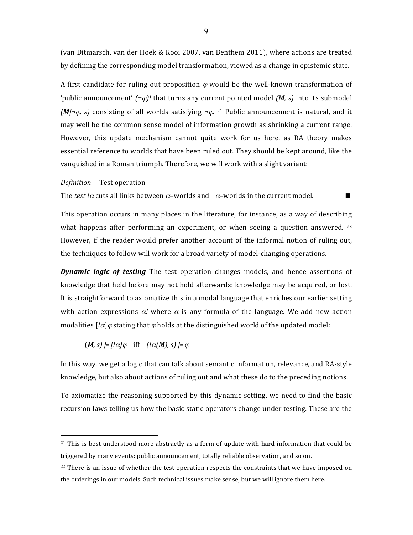(van Ditmarsch, van der Hoek & Kooi 2007, van Benthem 2011), where actions are treated by defining the corresponding model transformation, viewed as a change in epistemic state.

A first candidate for ruling out proposition  $\varphi$  would be the well-known transformation of 'public announcement'  $(\neg \varphi)$ ! that turns any current pointed model *(M, s)* into its submodel *(M* $|$ ¬ $\varphi$ , *s*) consisting of all worlds satisfying ¬ $\varphi$ . <sup>21</sup> Public announcement is natural, and it may well be the common sense model of information growth as shrinking a current range. However, this update mechanism cannot quite work for us here, as RA theory makes essential reference to worlds that have been ruled out. They should be kept around, like the vanquished in a Roman triumph. Therefore, we will work with a slight variant:

### *Definition* Test operation

 $\overline{a}$ 

The *test !α* cuts all links between  $\alpha$ –worlds and  $\neg \alpha$ –worlds in the current model.

This operation occurs in many places in the literature, for instance, as a way of describing what happens after performing an experiment, or when seeing a question answered.  $^{22}$ However, if the reader would prefer another account of the informal notion of ruling out, the techniques to follow will work for a broad variety of model-changing operations.

**Dynamic logic of testing** The test operation changes models, and hence assertions of knowledge that held before may not hold afterwards: knowledge may be acquired, or lost. It is straightforward to axiomatize this in a modal language that enriches our earlier setting with action expressions  $\alpha$  where  $\alpha$  is any formula of the language. We add new action modalities  $\left[2a\right]\varphi$  stating that  $\varphi$  holds at the distinguished world of the updated model:

 $(M, s)$   $\models$   $[! \alpha] \varphi$  iff  $(l \alpha(M), s)$   $\models \varphi$ 

In this way, we get a logic that can talk about semantic information, relevance, and RA-style knowledge, but also about actions of ruling out and what these do to the preceding notions.

To axiomatize the reasoning supported by this dynamic setting, we need to find the basic recursion laws telling us how the basic static operators change under testing. These are the

 $21$  This is best understood more abstractly as a form of update with hard information that could be triggered by many events: public announcement, totally reliable observation, and so on.

 $22$  There is an issue of whether the test operation respects the constraints that we have imposed on the orderings in our models. Such technical issues make sense, but we will ignore them here.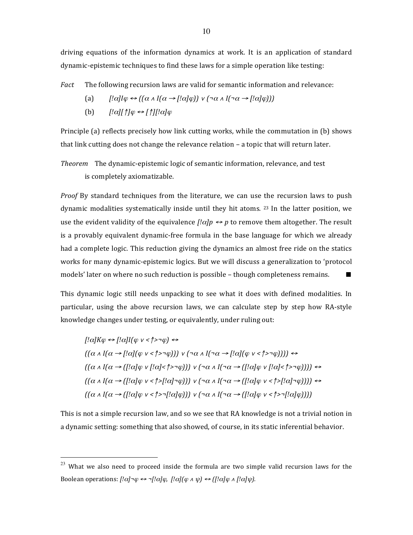driving equations of the information dynamics at work. It is an application of standard dynamic-epistemic techniques to find these laws for a simple operation like testing:

*Fact* The following recursion laws are valid for semantic information and relevance:

- (a)  $[ \alpha | \alpha | \alpha \leftrightarrow [ \alpha | \alpha \rightarrow [ \alpha | \alpha ] ] ) \vee [ \neg \alpha | \alpha | \alpha \rightarrow [ \alpha | \alpha ] ) )$
- (b) *[!*α*][*↑*]*<sup>ϕ</sup> <sup>↔</sup> *[*↑*][!*α*]*<sup>ϕ</sup>

Principle  $(a)$  reflects precisely how link cutting works, while the commutation in  $(b)$  shows that link cutting does not change the relevance relation  $-$  a topic that will return later.

*Theorem* The dynamic-epistemic logic of semantic information, relevance, and test is completely axiomatizable.

*Proof* By standard techniques from the literature, we can use the recursion laws to push dynamic modalities systematically inside until they hit atoms. <sup>23</sup> In the latter position, we use the evident validity of the equivalence  $\ell$  *[* $\alpha$ *]p*  $\leftrightarrow$  *p* to remove them altogether. The result is a provably equivalent dynamic-free formula in the base language for which we already had a complete logic. This reduction giving the dynamics an almost free ride on the statics works for many dynamic-epistemic logics. But we will discuss a generalization to 'protocol models' later on where no such reduction is possible  $-$  though completeness remains.  $\blacksquare$ 

This dynamic logic still needs unpacking to see what it does with defined modalities. In particular, using the above recursion laws, we can calculate step by step how RA-style knowledge changes under testing, or equivalently, under ruling out:

*[!*α*]K*<sup>ϕ</sup> <sup>↔</sup> *[!*α*]I(*<sup>ϕ</sup> <sup>∨</sup> *<*↑*>¬*ϕ*)* <sup>↔</sup> *((*<sup>α</sup> <sup>∧</sup> *I(*<sup>α</sup> <sup>→</sup> *[!*α*](*<sup>ϕ</sup> <sup>∨</sup> *<*↑*>¬*ϕ*)))* <sup>∨</sup> *(¬*<sup>α</sup> <sup>∧</sup> *I(¬*<sup>α</sup> <sup>→</sup> *[!*α*](*<sup>ϕ</sup> <sup>∨</sup> *<*↑*>¬*ϕ*))))* <sup>↔</sup> *((*<sup>α</sup> <sup>∧</sup> *I(*<sup>α</sup> <sup>→</sup> *([!*α*]*<sup>ϕ</sup> <sup>∨</sup> *[!*α*]<*↑*>¬*ϕ*)))* <sup>∨</sup> *(¬*<sup>α</sup> <sup>∧</sup> *I(¬*<sup>α</sup> <sup>→</sup> *([!*α*]*<sup>ϕ</sup> <sup>∨</sup> *[!*α*]<*↑*>¬*ϕ*))))* <sup>↔</sup> *((*<sup>α</sup> <sup>∧</sup> *I(*<sup>α</sup> <sup>→</sup> *([!*α*]*<sup>ϕ</sup> <sup>∨</sup> *<*↑*>[!*α*]¬*ϕ*)))* <sup>∨</sup> *(¬*<sup>α</sup> <sup>∧</sup> *I(¬*<sup>α</sup> <sup>→</sup> *([!*α*]*<sup>ϕ</sup> <sup>∨</sup> *<*↑*>[!*α*]¬*ϕ*))))* <sup>↔</sup>  $((α ∧ I(α → (I!α|ω ∨ γ → (I!α|ω))) ∨ (¬α ∧ I(¬α → (I!α|ω ∨ γ → (I!α|ω))))$ 

This is not a simple recursion law, and so we see that RA knowledge is not a trivial notion in a dynamic setting: something that also showed, of course, in its static inferential behavior.

 $23$  What we also need to proceed inside the formula are two simple valid recursion laws for the Boolean operations:  $\int$ ! $\alpha$  $\rightarrow$  $\varphi$   $\rightarrow$   $\neg$  $\int$ ! $\alpha$  $\varphi$ ,  $\int$  $\lceil \alpha \rceil$  $\varphi$ ,  $\alpha$  $\pi$  $\lceil \alpha \rceil$  $\varphi$ .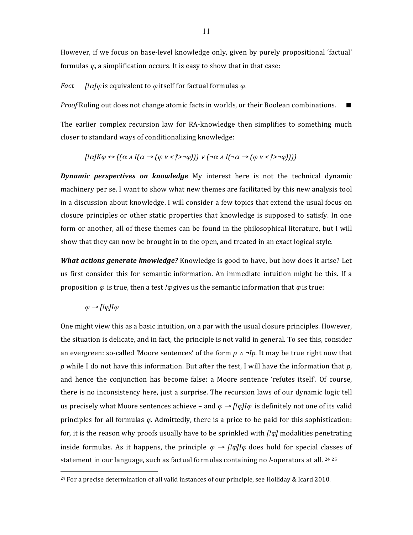However, if we focus on base-level knowledge only, given by purely propositional 'factual' formulas  $\varphi$ , a simplification occurs. It is easy to show that in that case:

*Fact [!* $\alpha$ *]* $\varphi$  is equivalent to  $\varphi$  itself for factual formulas  $\varphi$ .

*Proof* Ruling out does not change atomic facts in worlds, or their Boolean combinations. The earlier complex recursion law for RA-knowledge then simplifies to something much closer to standard ways of conditionalizing knowledge:

*[!*α*]K*<sup>ϕ</sup> <sup>↔</sup> *((*<sup>α</sup> <sup>∧</sup> *I(*<sup>α</sup> <sup>→</sup> *(*<sup>ϕ</sup> <sup>∨</sup> *<*↑*>¬*ϕ*)))* <sup>∨</sup> *(¬*<sup>α</sup> <sup>∧</sup> *I(¬*<sup>α</sup> <sup>→</sup> *(*<sup>ϕ</sup> <sup>∨</sup> *<*↑*>¬*ϕ*))))*

**Dynamic perspectives on knowledge** My interest here is not the technical dynamic machinery per se. I want to show what new themes are facilitated by this new analysis tool in a discussion about knowledge. I will consider a few topics that extend the usual focus on closure principles or other static properties that knowledge is supposed to satisfy. In one form or another, all of these themes can be found in the philosophical literature, but I will show that they can now be brought in to the open, and treated in an exact logical style.

*What actions generate knowledge?* Knowledge is good to have, but how does it arise? Let us first consider this for semantic information. An immediate intuition might be this. If a proposition  $\varphi$  is true, then a test *!* $\varphi$  gives us the semantic information that  $\varphi$  is true:

 $\varphi \rightarrow \frac{I}{\varphi}$ 

 $\overline{a}$ 

One might view this as a basic intuition, on a par with the usual closure principles. However, the situation is delicate, and in fact, the principle is not valid in general. To see this, consider an evergreen: so-called 'Moore sentences' of the form  $p \wedge \neg lp$ . It may be true right now that p while I do not have this information. But after the test, I will have the information that p, and hence the conjunction has become false: a Moore sentence 'refutes itself'. Of course, there is no inconsistency here, just a surprise. The recursion laws of our dynamic logic tell us precisely what Moore sentences achieve – and  $\varphi \rightarrow$  *[!* $\varphi$ *]I* $\varphi$  is definitely not one of its valid principles for all formulas  $\varphi$ . Admittedly, there is a price to be paid for this sophistication: for, it is the reason why proofs usually have to be sprinkled with  $\ell/\varphi$  *modalities* penetrating inside formulas. As it happens, the principle  $\varphi \rightarrow f/\varphi/I\varphi$  does hold for special classes of statement in our language, such as factual formulas containing no *I*-operators at all. <sup>24 25</sup>

<sup>&</sup>lt;sup>24</sup> For a precise determination of all valid instances of our principle, see Holliday & Icard 2010.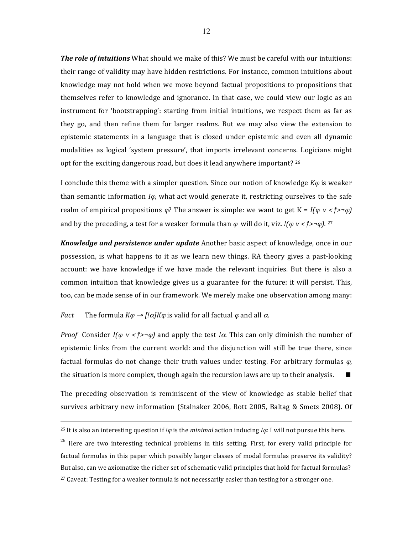**The role of intuitions** What should we make of this? We must be careful with our intuitions: their range of validity may have hidden restrictions. For instance, common intuitions about knowledge may not hold when we move beyond factual propositions to propositions that themselves refer to knowledge and ignorance. In that case, we could view our logic as an instrument for 'bootstrapping': starting from initial intuitions, we respect them as far as they go, and then refine them for larger realms. But we may also view the extension to epistemic statements in a language that is closed under epistemic and even all dynamic modalities as logical 'system pressure', that imports irrelevant concerns. Logicians might opt for the exciting dangerous road, but does it lead anywhere important? 26

I conclude this theme with a simpler question. Since our notion of knowledge  $K\varphi$  is weaker than semantic information  $I\varphi$ , what act would generate it, restricting ourselves to the safe realm of empirical propositions  $\varphi$ ? The answer is simple: we want to get  $K = I(\varphi \vee \langle \cdot \rangle \neg \varphi)$ and by the preceding, a test for a weaker formula than  $\varphi$  will do it, viz. *!(* $\varphi$  *v <*  $\uparrow$  > $\neg$  $\varphi$ ). <sup>27</sup>

*Knowledge and persistence under update* Another basic aspect of knowledge, once in our possession, is what happens to it as we learn new things. RA theory gives a past-looking account: we have knowledge if we have made the relevant inquiries. But there is also a common intuition that knowledge gives us a guarantee for the future: it will persist. This, too, can be made sense of in our framework. We merely make one observation among many:

## *Fact* The formula  $K\varphi \rightarrow I/\alpha K\varphi$  is valid for all factual  $\varphi$  and all  $\alpha$ .

 $\overline{a}$ 

*Proof* Consider  $I(\varphi \lor \langle \uparrow \rangle \neg \varphi)$  and apply the test *!α*. This can only diminish the number of epistemic links from the current world: and the disjunction will still be true there, since factual formulas do not change their truth values under testing. For arbitrary formulas  $\varphi$ , the situation is more complex, though again the recursion laws are up to their analysis.  $\blacksquare$ 

The preceding observation is reminiscent of the view of knowledge as stable belief that survives arbitrary new information (Stalnaker 2006, Rott 2005, Baltag & Smets 2008). Of

<sup>&</sup>lt;sup>25</sup> It is also an interesting question if *!* $\varphi$  is the *minimal* action inducing *I* $\varphi$ : I will not pursue this here.

 $^{26}$  Here are two interesting technical problems in this setting. First, for every valid principle for factual formulas in this paper which possibly larger classes of modal formulas preserve its validity? But also, can we axiomatize the richer set of schematic valid principles that hold for factual formulas?  $27$  Caveat: Testing for a weaker formula is not necessarily easier than testing for a stronger one.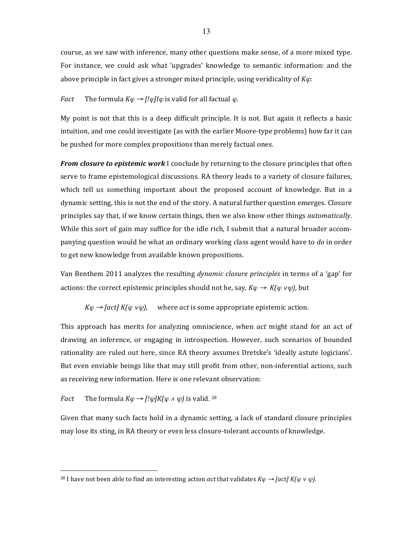course, as we saw with inference, many other questions make sense, of a more mixed type. For instance, we could ask what 'upgrades' knowledge to semantic information: and the above principle in fact gives a stronger mixed principle, using veridicality of  $K\varphi$ :

### *Fact* The formula  $K\varphi \rightarrow l^{\prime} \varphi / l \varphi$  is valid for all factual  $\varphi$ .

My point is not that this is a deep difficult principle. It is not. But again it reflects a basic intuition, and one could investigate (as with the earlier Moore-type problems) how far it can be pushed for more complex propositions than merely factual ones.

*From closure to epistemic work* I conclude by returning to the closure principles that often serve to frame epistemological discussions. RA theory leads to a variety of closure failures, which tell us something important about the proposed account of knowledge. But in a dynamic setting, this is not the end of the story. A natural further question emerges. Closure principles say that, if we know certain things, then we also know other things *automatically*. While this sort of gain may suffice for the idle rich, I submit that a natural broader accompanying question would be what an ordinary working class agent would have to *do* in order to get new knowledge from available known propositions.

Van Benthem 2011 analyzes the resulting *dynamic closure principles* in terms of a 'gap' for actions: the correct epistemic principles should not be, say,  $K\varphi \rightarrow K(\varphi \vee \psi)$ , but

$$
K\varphi \rightarrow [act] K(\varphi \vee \psi)
$$
, where *act* is some appropriate epistemic action.

This approach has merits for analyzing omniscience, when act might stand for an act of drawing an inference, or engaging in introspection. However, such scenarios of bounded rationality are ruled out here, since RA theory assumes Dretske's 'ideally astute logicians'. But even enviable beings like that may still profit from other, non-inferential actions, such as receiving new information. Here is one relevant observation:

# *Fact* The formula  $K\varphi \rightarrow l! \psi K(\varphi \wedge \psi)$  is valid. <sup>28</sup>

 $\overline{a}$ 

Given that many such facts hold in a dynamic setting, a lack of standard closure principles may lose its sting, in RA theory or even less closure-tolerant accounts of knowledge.

<sup>&</sup>lt;sup>28</sup> I have not been able to find an interesting action *act* that validates  $K\varphi \rightarrow [act] K(\varphi \vee \psi)$ .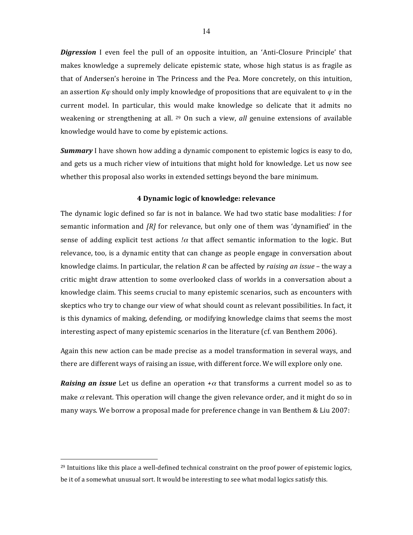**Digression** I even feel the pull of an opposite intuition, an 'Anti-Closure Principle' that makes knowledge a supremely delicate epistemic state, whose high status is as fragile as that of Andersen's heroine in The Princess and the Pea. More concretely, on this intuition, an assertion  $K\varphi$  should only imply knowledge of propositions that are equivalent to  $\varphi$  in the current model. In particular, this would make knowledge so delicate that it admits no weakening or strengthening at all. <sup>29</sup> On such a view, *all* genuine extensions of available knowledge would have to come by epistemic actions.

**Summary** I have shown how adding a dynamic component to epistemic logics is easy to do, and gets us a much richer view of intuitions that might hold for knowledge. Let us now see whether this proposal also works in extended settings beyond the bare minimum.

### **4 Dynamic logic of knowledge: relevance**

The dynamic logic defined so far is not in balance. We had two static base modalities: *I* for semantic information and *[R]* for relevance, but only one of them was 'dynamified' in the sense of adding explicit test actions *!α* that affect semantic information to the logic. But relevance, too, is a dynamic entity that can change as people engage in conversation about knowledge claims. In particular, the relation *R* can be affected by *raising an issue* – the way a critic might draw attention to some overlooked class of worlds in a conversation about a knowledge claim. This seems crucial to many epistemic scenarios, such as encounters with skeptics who try to change our view of what should count as relevant possibilities. In fact, it is this dynamics of making, defending, or modifying knowledge claims that seems the most interesting aspect of many epistemic scenarios in the literature (cf. van Benthem 2006).

Again this new action can be made precise as a model transformation in several ways, and there are different ways of raising an issue, with different force. We will explore only one.

*Raising* an issue Let us define an operation  $+\alpha$  that transforms a current model so as to make  $\alpha$  relevant. This operation will change the given relevance order, and it might do so in many ways. We borrow a proposal made for preference change in van Benthem & Liu 2007:

 $^{29}$  Intuitions like this place a well-defined technical constraint on the proof power of epistemic logics, be it of a somewhat unusual sort. It would be interesting to see what modal logics satisfy this.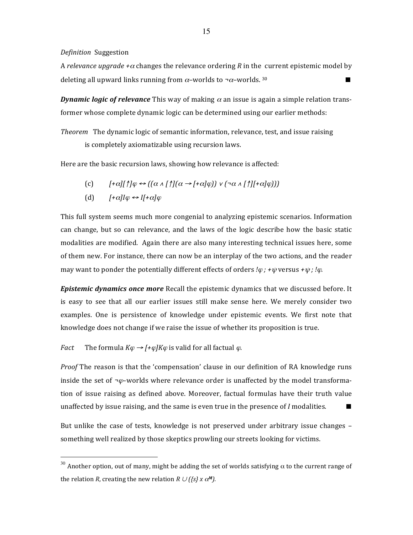*Definition* Suggestion

A *relevance upgrade*  $+\alpha$  changes the relevance ordering R in the current epistemic model by deleting all upward links running from  $\alpha$ –worlds to  $\neg \alpha$ –worlds. <sup>30</sup>

**Dynamic logic of relevance** This way of making  $\alpha$  an issue is again a simple relation transformer whose complete dynamic logic can be determined using our earlier methods:

*Theorem* The dynamic logic of semantic information, relevance, test, and issue raising is completely axiomatizable using recursion laws.

Here are the basic recursion laws, showing how relevance is affected:

- (c) *[+*α*][*↑*]*<sup>ϕ</sup> <sup>↔</sup> *((*<sup>α</sup> <sup>∧</sup> *[*↑*](*<sup>α</sup> <sup>→</sup> *[+*α*]*ϕ*))* <sup>∨</sup> *(¬*<sup>α</sup> <sup>∧</sup> *[*↑*][+*α*]*ϕ*)))*
- (d)  $[+ \alpha]I\varphi \Leftrightarrow I[+ \alpha]\varphi$

This full system seems much more congenial to analyzing epistemic scenarios. Information can change, but so can relevance, and the laws of the logic describe how the basic static modalities are modified. Again there are also many interesting technical issues here, some of them new. For instance, there can now be an interplay of the two actions, and the reader may want to ponder the potentially different effects of orders  $\varphi$ ;  $\psi$  versus  $\psi$ ;  $\varphi$ .

**Epistemic dynamics once more** Recall the epistemic dynamics that we discussed before. It is easy to see that all our earlier issues still make sense here. We merely consider two examples. One is persistence of knowledge under epistemic events. We first note that knowledge does not change if we raise the issue of whether its proposition is true.

*Fact* The formula  $K\varphi \rightarrow$   $\psi / \psi / K\varphi$  is valid for all factual  $\varphi$ .

*Proof* The reason is that the 'compensation' clause in our definition of RA knowledge runs inside the set of  $\neg \varphi$ –worlds where relevance order is unaffected by the model transformation of issue raising as defined above. Moreover, factual formulas have their truth value unaffected by issue raising, and the same is even true in the presence of *I* modalities.  $\blacksquare$ 

But unlike the case of tests, knowledge is not preserved under arbitrary issue changes – something well realized by those skeptics prowling our streets looking for victims.

<sup>&</sup>lt;sup>30</sup> Another option, out of many, might be adding the set of worlds satisfying  $\alpha$  to the current range of the relation *R*, creating the new relation  $R \cup (\{s\} \times \alpha^M)$ .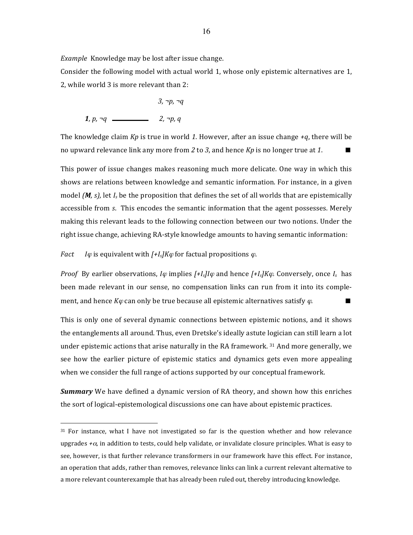*Example* Knowledge may be lost after issue change.

Consider the following model with actual world 1, whose only epistemic alternatives are 1, 2, while world 3 is more relevant than 2:

$$
3, \neg p, \neg q
$$
  
**1**, p,  $\neg q$  \_\_\_\_\_\_  $2, \neg p, q$ 

The knowledge claim  $Kp$  is true in world 1. However, after an issue change  $+q$ , there will be no upward relevance link any more from 2 to 3, and hence  $Kp$  is no longer true at 1.

This power of issue changes makes reasoning much more delicate. One way in which this shows are relations between knowledge and semantic information. For instance, in a given model  $(M, s)$ , let  $I_s$  be the proposition that defines the set of all worlds that are epistemically accessible from *s*. This encodes the semantic information that the agent possesses. Merely making this relevant leads to the following connection between our two notions. Under the right issue change, achieving RA-style knowledge amounts to having semantic information:

### *Fact I* $\varphi$  is equivalent with  $\frac{f}{f}$  *H<sub>s</sub>]K* $\varphi$  for factual propositions  $\varphi$ .

 $\overline{a}$ 

*Proof* By earlier observations, *I*ϕ implies *[+I<sub>s</sub>]I*ϕ and hence *[+I<sub>s</sub>]K*ϕ*.* Conversely, once *I<sub>s</sub>* has been made relevant in our sense, no compensation links can run from it into its complement, and hence  $K\varphi$  can only be true because all epistemic alternatives satisfy  $\varphi$ .

This is only one of several dynamic connections between epistemic notions, and it shows the entanglements all around. Thus, even Dretske's ideally astute logician can still learn a lot under epistemic actions that arise naturally in the RA framework.  $31$  And more generally, we see how the earlier picture of epistemic statics and dynamics gets even more appealing when we consider the full range of actions supported by our conceptual framework.

**Summary** We have defined a dynamic version of RA theory, and shown how this enriches the sort of logical-epistemological discussions one can have about epistemic practices.

 $31$  For instance, what I have not investigated so far is the question whether and how relevance upgrades  $+\alpha$ , in addition to tests, could help validate, or invalidate closure principles. What is easy to see, however, is that further relevance transformers in our framework have this effect. For instance, an operation that adds, rather than removes, relevance links can link a current relevant alternative to a more relevant counterexample that has already been ruled out, thereby introducing knowledge.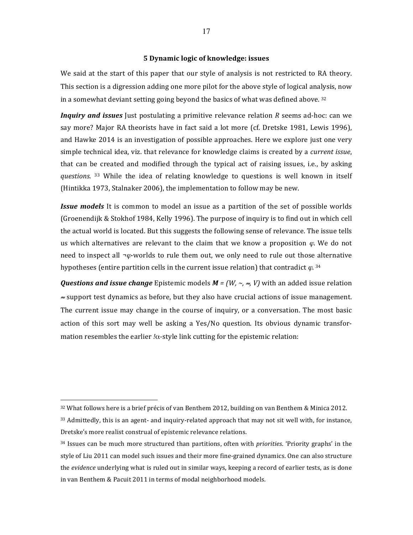### **5 Dynamic logic of knowledge: issues**

We said at the start of this paper that our style of analysis is not restricted to RA theory. This section is a digression adding one more pilot for the above style of logical analysis, now in a somewhat deviant setting going beyond the basics of what was defined above.  $32$ 

*Inquiry* and *issues* Just postulating a primitive relevance relation *R* seems ad-hoc: can we say more? Major RA theorists have in fact said a lot more (cf. Dretske 1981, Lewis 1996), and Hawke 2014 is an investigation of possible approaches. Here we explore just one very simple technical idea, viz. that relevance for knowledge claims is created by a *current issue*, that can be created and modified through the typical act of raising issues, i.e., by asking *questions*. <sup>33</sup> While the idea of relating knowledge to questions is well known in itself (Hintikka 1973, Stalnaker 2006), the implementation to follow may be new.

**Issue models** It is common to model an issue as a partition of the set of possible worlds (Groenendijk & Stokhof 1984, Kelly 1996). The purpose of inquiry is to find out in which cell the actual world is located. But this suggests the following sense of relevance. The issue tells us which alternatives are relevant to the claim that we know a proposition  $\varphi$ . We do not need to inspect all  $\neg \varphi$ -worlds to rule them out, we only need to rule out those alternative hypotheses (entire partition cells in the current issue relation) that contradict  $\varphi$ . 34

*Questions and issue change* Epistemic models  $M = (W, \sim, \approx, V)$  with an added issue relation ≈ support test dynamics as before, but they also have crucial actions of issue management. The current issue may change in the course of inquiry, or a conversation. The most basic action of this sort may well be asking a Yes/No question. Its obvious dynamic transformation resembles the earlier  $\alpha$ -style link cutting for the epistemic relation:

 $32$  What follows here is a brief précis of van Benthem 2012, building on van Benthem & Minica 2012.

<sup>33</sup> Admittedly, this is an agent- and inquiry-related approach that may not sit well with, for instance, Dretske's more realist construal of epistemic relevance relations.

<sup>&</sup>lt;sup>34</sup> Issues can be much more structured than partitions, often with *priorities*. 'Priority graphs' in the style of Liu 2011 can model such issues and their more fine-grained dynamics. One can also structure the *evidence* underlying what is ruled out in similar ways, keeping a record of earlier tests, as is done in van Benthem & Pacuit 2011 in terms of modal neighborhood models.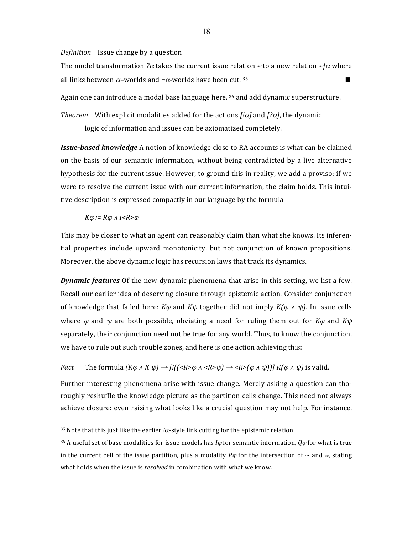*Definition* Issue change by a question

The model transformation *?α* takes the current issue relation ≈ to a new relation ≈  $\alpha$  where all links between  $\alpha$ -worlds and  $\neg \alpha$ -worlds have been cut. <sup>35</sup>

Again one can introduce a modal base language here,  $36$  and add dynamic superstructure.

*Theorem* With explicit modalities added for the actions  $[1\alpha]$  and  $[2\alpha]$ , the dynamic logic of information and issues can be axiomatized completely.

**Issue-based knowledge** A notion of knowledge close to RA accounts is what can be claimed on the basis of our semantic information, without being contradicted by a live alternative hypothesis for the current issue. However, to ground this in reality, we add a proviso: if we were to resolve the current issue with our current information, the claim holds. This intuitive description is expressed compactly in our language by the formula

*K*<sup>ϕ</sup> *:= R*<sup>ϕ</sup> <sup>∧</sup> *I<R>*<sup>ϕ</sup>

 $\overline{a}$ 

This may be closer to what an agent can reasonably claim than what she knows. Its inferential properties include upward monotonicity, but not conjunction of known propositions. Moreover, the above dynamic logic has recursion laws that track its dynamics.

**Dynamic features** Of the new dynamic phenomena that arise in this setting, we list a few. Recall our earlier idea of deserving closure through epistemic action. Consider conjunction of knowledge that failed here:  $K\varphi$  and  $K\psi$  together did not imply  $K(\varphi \wedge \psi)$ . In issue cells where  $\varphi$  and  $\psi$  are both possible, obviating a need for ruling them out for  $K\varphi$  and  $K\psi$ separately, their conjunction need not be true for any world. Thus, to know the conjunction, we have to rule out such trouble zones, and here is one action achieving this:

*Fact* The formula  $(K\varphi \wedge K \psi) \rightarrow [!((\varphi \wedge R>\psi) \rightarrow (\varphi \wedge \psi)] K(\varphi \wedge \psi)$  is valid.

Further interesting phenomena arise with issue change. Merely asking a question can thoroughly reshuffle the knowledge picture as the partition cells change. This need not always achieve closure: even raising what looks like a crucial question may not help. For instance,

<sup>&</sup>lt;sup>35</sup> Note that this just like the earlier *!*α-style link cutting for the epistemic relation.

<sup>&</sup>lt;sup>36</sup> A useful set of base modalities for issue models has  $I\varphi$  for semantic information,  $Q\varphi$  for what is true in the current cell of the issue partition, plus a modality  $R\varphi$  for the intersection of  $\sim$  and  $\approx$ , stating what holds when the issue is *resolved* in combination with what we know.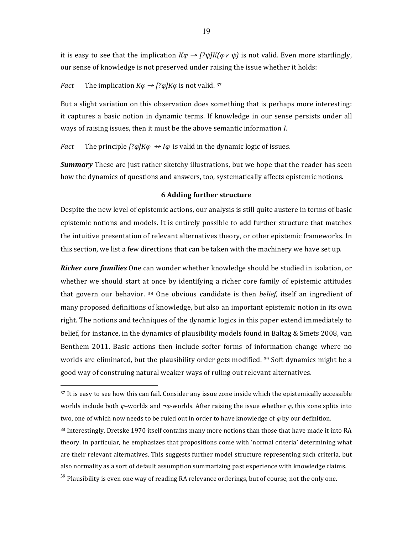it is easy to see that the implication  $K\varphi \to$  *[?* $\psi$ *]K(* $\varphi \vee \psi$ *)* is not valid. Even more startlingly, our sense of knowledge is not preserved under raising the issue whether it holds:

## *Fact* The implication  $K\varphi \rightarrow$   $[? \varphi] K\varphi$  is not valid. 37

 $\overline{a}$ 

But a slight variation on this observation does something that is perhaps more interesting: it captures a basic notion in dynamic terms. If knowledge in our sense persists under all ways of raising issues, then it must be the above semantic information *I*.

*Fact* The principle  $\frac{7\varphi}{K\varphi} \leftrightarrow \frac{I\varphi}{\varphi}$  is valid in the dynamic logic of issues.

**Summary** These are just rather sketchy illustrations, but we hope that the reader has seen how the dynamics of questions and answers, too, systematically affects epistemic notions.

### **6 Adding further structure**

Despite the new level of epistemic actions, our analysis is still quite austere in terms of basic epistemic notions and models. It is entirely possible to add further structure that matches the intuitive presentation of relevant alternatives theory, or other epistemic frameworks. In this section, we list a few directions that can be taken with the machinery we have set up.

**Richer core families** One can wonder whether knowledge should be studied in isolation, or whether we should start at once by identifying a richer core family of epistemic attitudes that govern our behavior. <sup>38</sup> One obvious candidate is then *belief*, itself an ingredient of many proposed definitions of knowledge, but also an important epistemic notion in its own right. The notions and techniques of the dynamic logics in this paper extend immediately to belief, for instance, in the dynamics of plausibility models found in Baltag & Smets 2008, van Benthem 2011. Basic actions then include softer forms of information change where no worlds are eliminated, but the plausibility order gets modified.  $39$  Soft dynamics might be a good way of construing natural weaker ways of ruling out relevant alternatives.

 $37$  It is easy to see how this can fail. Consider any issue zone inside which the epistemically accessible worlds include both  $\varphi$ -worlds and  $\neg \varphi$ -worlds. After raising the issue whether  $\varphi$ , this zone splits into two, one of which now needs to be ruled out in order to have knowledge of  $\varphi$  by our definition.

<sup>38</sup> Interestingly, Dretske 1970 itself contains many more notions than those that have made it into RA theory. In particular, he emphasizes that propositions come with 'normal criteria' determining what are their relevant alternatives. This suggests further model structure representing such criteria, but also normality as a sort of default assumption summarizing past experience with knowledge claims.

 $39$  Plausibility is even one way of reading RA relevance orderings, but of course, not the only one.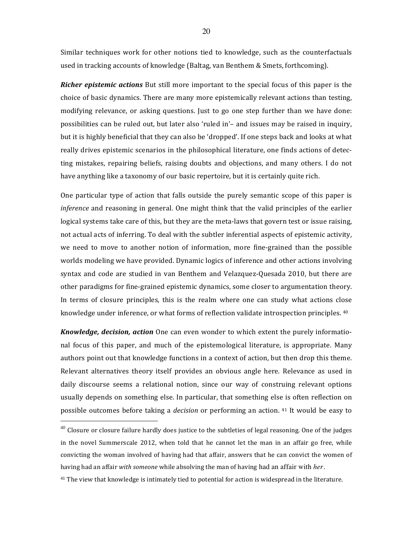Similar techniques work for other notions tied to knowledge, such as the counterfactuals used in tracking accounts of knowledge (Baltag, van Benthem & Smets, forthcoming).

**Richer epistemic actions** But still more important to the special focus of this paper is the choice of basic dynamics. There are many more epistemically relevant actions than testing, modifying relevance, or asking questions. Just to go one step further than we have done: possibilities can be ruled out, but later also 'ruled in'- and issues may be raised in inquiry, but it is highly beneficial that they can also be 'dropped'. If one steps back and looks at what really drives epistemic scenarios in the philosophical literature, one finds actions of detecting mistakes, repairing beliefs, raising doubts and objections, and many others. I do not have anything like a taxonomy of our basic repertoire, but it is certainly quite rich.

One particular type of action that falls outside the purely semantic scope of this paper is *inference* and reasoning in general. One might think that the valid principles of the earlier logical systems take care of this, but they are the meta-laws that govern test or issue raising, not actual acts of inferring. To deal with the subtler inferential aspects of epistemic activity, we need to move to another notion of information, more fine-grained than the possible worlds modeling we have provided. Dynamic logics of inference and other actions involving syntax and code are studied in van Benthem and Velazquez-Quesada 2010, but there are other paradigms for fine-grained epistemic dynamics, some closer to argumentation theory. In terms of closure principles, this is the realm where one can study what actions close knowledge under inference, or what forms of reflection validate introspection principles.  $40$ 

*Knowledge, decision, action* One can even wonder to which extent the purely informational focus of this paper, and much of the epistemological literature, is appropriate. Many authors point out that knowledge functions in a context of action, but then drop this theme. Relevant alternatives theory itself provides an obvious angle here. Relevance as used in daily discourse seems a relational notion, since our way of construing relevant options usually depends on something else. In particular, that something else is often reflection on possible outcomes before taking a *decision* or performing an action. <sup>41</sup> It would be easy to

 $40$  Closure or closure failure hardly does justice to the subtleties of legal reasoning. One of the judges in the novel Summerscale 2012, when told that he cannot let the man in an affair go free, while convicting the woman involved of having had that affair, answers that he can convict the women of having had an affair *with someone* while absolving the man of having had an affair with *her*.

 $41$  The view that knowledge is intimately tied to potential for action is widespread in the literature.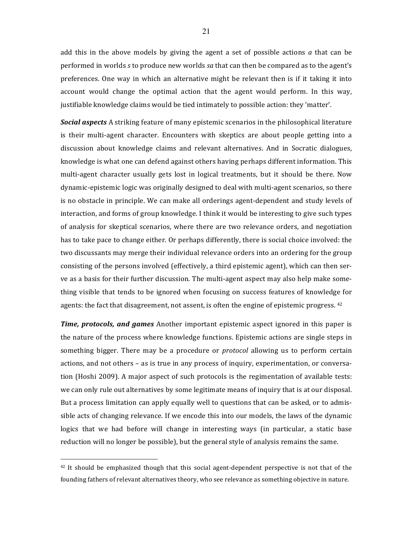add this in the above models by giving the agent a set of possible actions  $a$  that can be performed in worlds *s* to produce new worlds *sa* that can then be compared as to the agent's preferences. One way in which an alternative might be relevant then is if it taking it into account would change the optimal action that the agent would perform. In this way, justifiable knowledge claims would be tied intimately to possible action: they 'matter'.

**Social aspects** A striking feature of many epistemic scenarios in the philosophical literature is their multi-agent character. Encounters with skeptics are about people getting into a discussion about knowledge claims and relevant alternatives. And in Socratic dialogues, knowledge is what one can defend against others having perhaps different information. This multi-agent character usually gets lost in logical treatments, but it should be there. Now dynamic-epistemic logic was originally designed to deal with multi-agent scenarios, so there is no obstacle in principle. We can make all orderings agent-dependent and study levels of interaction, and forms of group knowledge. I think it would be interesting to give such types of analysis for skeptical scenarios, where there are two relevance orders, and negotiation has to take pace to change either. Or perhaps differently, there is social choice involved: the two discussants may merge their individual relevance orders into an ordering for the group consisting of the persons involved (effectively, a third epistemic agent), which can then serve as a basis for their further discussion. The multi-agent aspect may also help make something visible that tends to be ignored when focusing on success features of knowledge for agents: the fact that disagreement, not assent, is often the engine of epistemic progress.  $42$ 

*Time, protocols, and games* Another important epistemic aspect ignored in this paper is the nature of the process where knowledge functions. Epistemic actions are single steps in something bigger. There may be a procedure or *protocol* allowing us to perform certain actions, and not others – as is true in any process of inquiry, experimentation, or conversation (Hoshi 2009). A major aspect of such protocols is the regimentation of available tests: we can only rule out alternatives by some legitimate means of inquiry that is at our disposal. But a process limitation can apply equally well to questions that can be asked, or to admissible acts of changing relevance. If we encode this into our models, the laws of the dynamic logics that we had before will change in interesting ways (in particular, a static base reduction will no longer be possible), but the general style of analysis remains the same.

 $42$  It should be emphasized though that this social agent-dependent perspective is not that of the founding fathers of relevant alternatives theory, who see relevance as something objective in nature.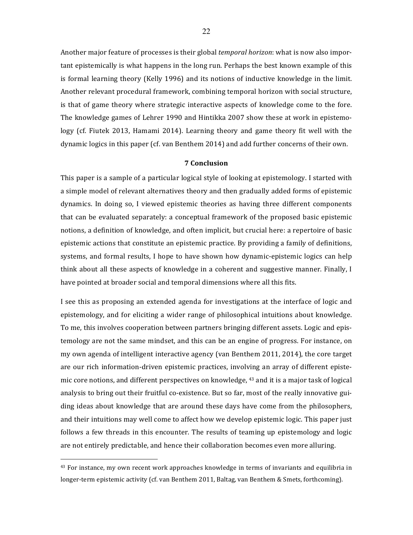Another major feature of processes is their global *temporal horizon*: what is now also important epistemically is what happens in the long run. Perhaps the best known example of this is formal learning theory (Kelly 1996) and its notions of inductive knowledge in the limit. Another relevant procedural framework, combining temporal horizon with social structure, is that of game theory where strategic interactive aspects of knowledge come to the fore. The knowledge games of Lehrer 1990 and Hintikka 2007 show these at work in epistemology (cf. Fiutek 2013, Hamami 2014). Learning theory and game theory fit well with the dynamic logics in this paper (cf. van Benthem 2014) and add further concerns of their own.

## **7 Conclusion**

This paper is a sample of a particular logical style of looking at epistemology. I started with a simple model of relevant alternatives theory and then gradually added forms of epistemic dynamics. In doing so, I viewed epistemic theories as having three different components that can be evaluated separately: a conceptual framework of the proposed basic epistemic notions, a definition of knowledge, and often implicit, but crucial here: a repertoire of basic epistemic actions that constitute an epistemic practice. By providing a family of definitions, systems, and formal results, I hope to have shown how dynamic-epistemic logics can help think about all these aspects of knowledge in a coherent and suggestive manner. Finally, I have pointed at broader social and temporal dimensions where all this fits.

I see this as proposing an extended agenda for investigations at the interface of logic and epistemology, and for eliciting a wider range of philosophical intuitions about knowledge. To me, this involves cooperation between partners bringing different assets. Logic and epistemology are not the same mindset, and this can be an engine of progress. For instance, on my own agenda of intelligent interactive agency (van Benthem  $2011$ ,  $2014$ ), the core target are our rich information-driven epistemic practices, involving an array of different epistemic core notions, and different perspectives on knowledge,  $43$  and it is a major task of logical analysis to bring out their fruitful co-existence. But so far, most of the really innovative guiding ideas about knowledge that are around these days have come from the philosophers, and their intuitions may well come to affect how we develop epistemic logic. This paper just follows a few threads in this encounter. The results of teaming up epistemology and logic are not entirely predictable, and hence their collaboration becomes even more alluring.

 $43$  For instance, my own recent work approaches knowledge in terms of invariants and equilibria in longer-term epistemic activity (cf. van Benthem 2011, Baltag, van Benthem & Smets, forthcoming).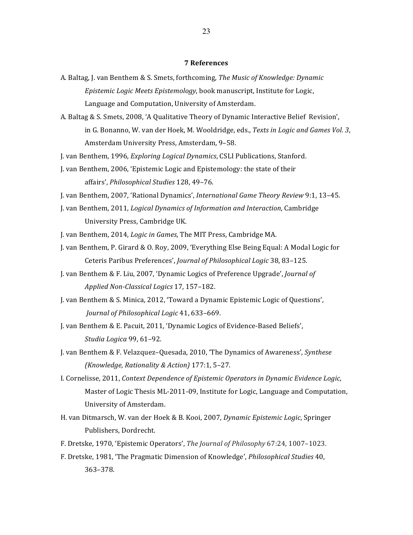## **7 References**

- A. Baltag, J. van Benthem & S. Smets, forthcoming, *The Music of Knowledge: Dynamic Epistemic Logic Meets Epistemology*, book manuscript, Institute for Logic, Language and Computation, University of Amsterdam.
- A. Baltag & S. Smets, 2008, 'A Qualitative Theory of Dynamic Interactive Belief Revision', in G. Bonanno, W. van der Hoek, M. Wooldridge, eds., *Texts in Logic and Games Vol. 3*, Amsterdam University Press, Amsterdam, 9-58.
- J. van Benthem, 1996, *Exploring Logical Dynamics*, CSLI Publications, Stanford.
- J. van Benthem, 2006, 'Epistemic Logic and Epistemology: the state of their affairs', *Philosophical Studies* 128, 49–76.

J. van Benthem, 2007, 'Rational Dynamics', *International Game Theory Review* 9:1, 13-45.

J. van Benthem, 2011, *Logical Dynamics of Information and Interaction*, Cambridge University Press, Cambridge UK.

J. van Benthem, 2014, *Logic in Games*, The MIT Press, Cambridge MA.

- J. van Benthem, P. Girard & O. Roy, 2009, 'Everything Else Being Equal: A Modal Logic for Ceteris Paribus Preferences', *Journal of Philosophical Logic* 38, 83-125.
- J. van Benthem & F. Liu, 2007, 'Dynamic Logics of Preference Upgrade', *Journal of Applied Non-Classical Logics* 17, 157–182.
- J. van Benthem & S. Minica, 2012, 'Toward a Dynamic Epistemic Logic of Questions', *Journal of Philosophical Logic* 41, 633-669.
- J. van Benthem & E. Pacuit, 2011, 'Dynamic Logics of Evidence-Based Beliefs'. *Studia Logica* 99, 61–92.
- J. van Benthem & F. Velazquez-Quesada, 2010, 'The Dynamics of Awareness', *Synthese (Knowledge, Rationality & Action)* 177:1, 5–27.
- I. Cornelisse, 2011, *Context Dependence of Epistemic Operators in Dynamic Evidence Logic*, Master of Logic Thesis ML-2011-09, Institute for Logic, Language and Computation, University of Amsterdam.
- H. van Ditmarsch, W. van der Hoek & B. Kooi, 2007, *Dynamic Epistemic Logic*, Springer Publishers, Dordrecht.
- F. Dretske, 1970, 'Epistemic Operators', *The Journal of Philosophy* 67:24, 1007–1023.
- F. Dretske, 1981, 'The Pragmatic Dimension of Knowledge', *Philosophical Studies* 40, 363–378.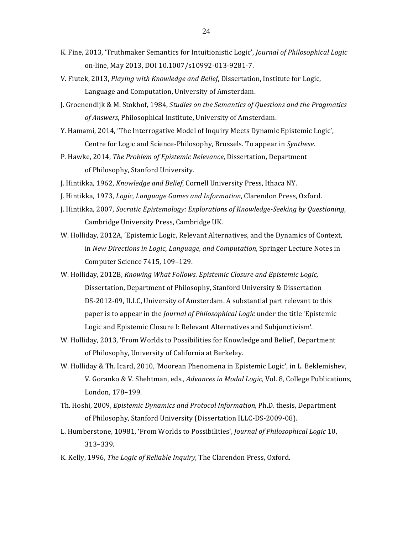- K. Fine, 2013, 'Truthmaker Semantics for Intuitionistic Logic', *Journal of Philosophical Logic* on-line, May 2013, DOI 10.1007/s10992-013-9281-7.
- V. Fiutek, 2013, *Playing with Knowledge and Belief*, Dissertation, Institute for Logic, Language and Computation, University of Amsterdam.
- J. Groenendijk & M. Stokhof, 1984, *Studies on the Semantics of Questions and the Pragmatics* of Answers, Philosophical Institute, University of Amsterdam.
- Y. Hamami, 2014, 'The Interrogative Model of Inquiry Meets Dynamic Epistemic Logic', Centre for Logic and Science-Philosophy, Brussels. To appear in *Synthese*.
- P. Hawke, 2014, *The Problem of Epistemic Relevance*, Dissertation, Department of Philosophy, Stanford University.
- J. Hintikka, 1962, *Knowledge and Belief*, Cornell University Press, Ithaca NY.
- J. Hintikka, 1973, *Logic, Language Games and Information*, Clarendon Press, Oxford.
- J. Hintikka, 2007, *Socratic Epistemology: Explorations of Knowledge-Seeking by Questioning*, Cambridge University Press, Cambridge UK.
- W. Holliday, 2012A, 'Epistemic Logic, Relevant Alternatives, and the Dynamics of Context, in *New Directions in Logic, Language, and Computation*, Springer Lecture Notes in Computer Science 7415, 109-129.
- W. Holliday, 2012B, *Knowing What Follows. Epistemic Closure and Epistemic Logic*, Dissertation, Department of Philosophy, Stanford University & Dissertation DS-2012-09, ILLC, University of Amsterdam. A substantial part relevant to this paper is to appear in the *Journal of Philosophical Logic* under the title 'Epistemic Logic and Epistemic Closure I: Relevant Alternatives and Subjunctivism'.
- W. Holliday, 2013, 'From Worlds to Possibilities for Knowledge and Belief', Department of Philosophy, University of California at Berkeley.
- W. Holliday & Th. Icard, 2010, 'Moorean Phenomena in Epistemic Logic', in L. Beklemishev, V. Goranko & V. Shehtman, eds., *Advances in Modal Logic*, Vol. 8, College Publications, London, 178–199.
- Th. Hoshi, 2009, *Epistemic Dynamics and Protocol Information*, Ph.D. thesis, Department of Philosophy, Stanford University (Dissertation ILLC-DS-2009-08).
- L. Humberstone, 10981, 'From Worlds to Possibilities', *Journal of Philosophical Logic* 10, 313–339.
- K. Kelly, 1996, *The Logic of Reliable Inquiry*, The Clarendon Press, Oxford.